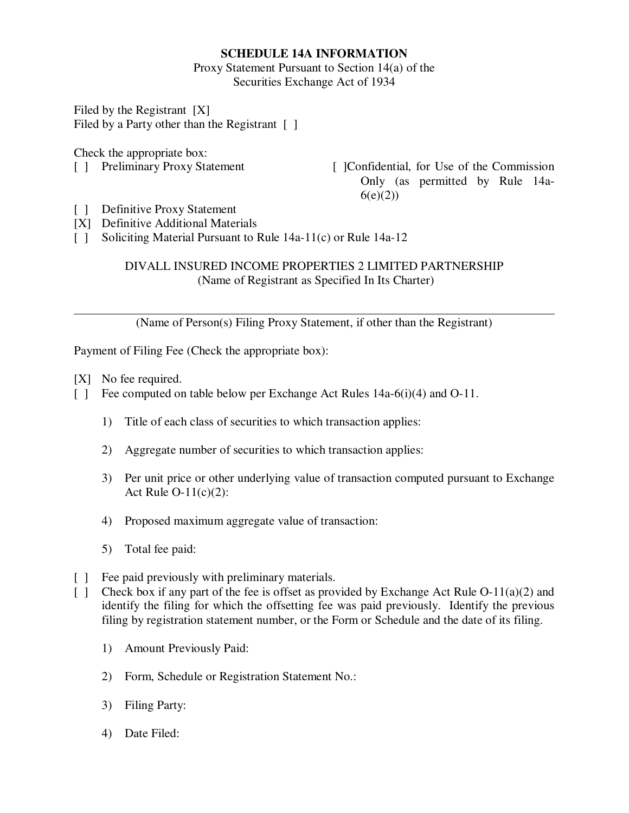# **SCHEDULE 14A INFORMATION**

Proxy Statement Pursuant to Section 14(a) of the Securities Exchange Act of 1934

Filed by the Registrant [X] Filed by a Party other than the Registrant [ ]

Check the appropriate box:

[ ] Preliminary Proxy Statement [ ]Confidential, for Use of the Commission Only (as permitted by Rule 14a- $6(e)(2)$ 

- [ ] Definitive Proxy Statement
- [X] Definitive Additional Materials
- [ ] Soliciting Material Pursuant to Rule 14a-11(c) or Rule 14a-12

# DIVALL INSURED INCOME PROPERTIES 2 LIMITED PARTNERSHIP (Name of Registrant as Specified In Its Charter)

(Name of Person(s) Filing Proxy Statement, if other than the Registrant)

Payment of Filing Fee (Check the appropriate box):

- [X] No fee required.
- [ ] Fee computed on table below per Exchange Act Rules 14a-6(i)(4) and O-11.
	- 1) Title of each class of securities to which transaction applies:
	- 2) Aggregate number of securities to which transaction applies:
	- 3) Per unit price or other underlying value of transaction computed pursuant to Exchange Act Rule  $O-11(c)(2)$ :
	- 4) Proposed maximum aggregate value of transaction:
	- 5) Total fee paid:
- [ ] Fee paid previously with preliminary materials.
- [ ] Check box if any part of the fee is offset as provided by Exchange Act Rule O-11(a)(2) and identify the filing for which the offsetting fee was paid previously. Identify the previous filing by registration statement number, or the Form or Schedule and the date of its filing.
	- 1) Amount Previously Paid:
	- 2) Form, Schedule or Registration Statement No.:
	- 3) Filing Party:
	- 4) Date Filed: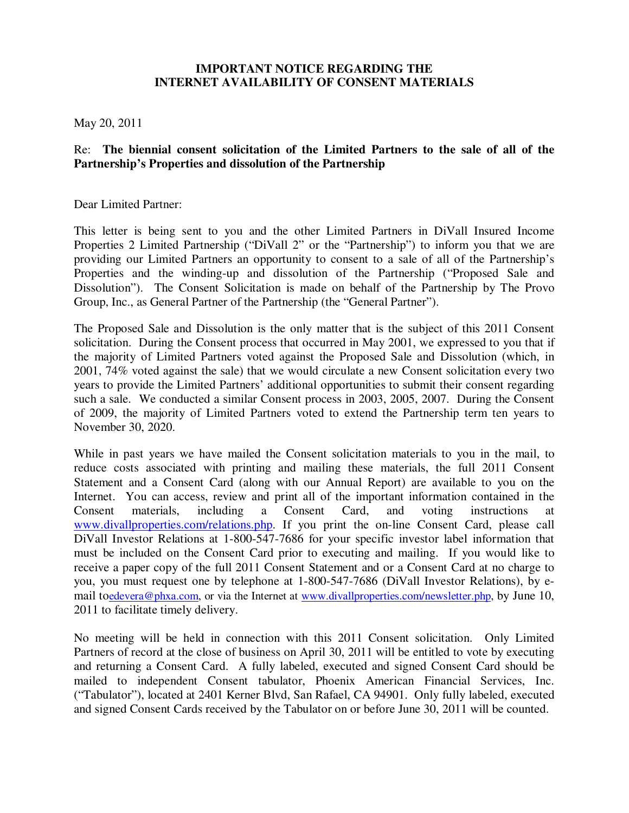# **IMPORTANT NOTICE REGARDING THE INTERNET AVAILABILITY OF CONSENT MATERIALS**

May 20, 2011

# Re: **The biennial consent solicitation of the Limited Partners to the sale of all of the Partnership's Properties and dissolution of the Partnership**

Dear Limited Partner:

This letter is being sent to you and the other Limited Partners in DiVall Insured Income Properties 2 Limited Partnership ("DiVall 2" or the "Partnership") to inform you that we are providing our Limited Partners an opportunity to consent to a sale of all of the Partnership's Properties and the winding-up and dissolution of the Partnership ("Proposed Sale and Dissolution"). The Consent Solicitation is made on behalf of the Partnership by The Provo Group, Inc., as General Partner of the Partnership (the "General Partner").

The Proposed Sale and Dissolution is the only matter that is the subject of this 2011 Consent solicitation. During the Consent process that occurred in May 2001, we expressed to you that if the majority of Limited Partners voted against the Proposed Sale and Dissolution (which, in 2001, 74% voted against the sale) that we would circulate a new Consent solicitation every two years to provide the Limited Partners' additional opportunities to submit their consent regarding such a sale. We conducted a similar Consent process in 2003, 2005, 2007. During the Consent of 2009, the majority of Limited Partners voted to extend the Partnership term ten years to November 30, 2020.

While in past years we have mailed the Consent solicitation materials to you in the mail, to reduce costs associated with printing and mailing these materials, the full 2011 Consent Statement and a Consent Card (along with our Annual Report) are available to you on the Internet. You can access, review and print all of the important information contained in the Consent materials, including a Consent Card, and voting instructions at www.divallproperties.com/relations.php. If you print the on-line Consent Card, please call DiVall Investor Relations at 1-800-547-7686 for your specific investor label information that must be included on the Consent Card prior to executing and mailing. If you would like to receive a paper copy of the full 2011 Consent Statement and or a Consent Card at no charge to you, you must request one by telephone at 1-800-547-7686 (DiVall Investor Relations), by email toedevera@phxa.com, or via the Internet at www.divallproperties.com/newsletter.php, by June 10, 2011 to facilitate timely delivery.

No meeting will be held in connection with this 2011 Consent solicitation. Only Limited Partners of record at the close of business on April 30, 2011 will be entitled to vote by executing and returning a Consent Card. A fully labeled, executed and signed Consent Card should be mailed to independent Consent tabulator, Phoenix American Financial Services, Inc. ("Tabulator"), located at 2401 Kerner Blvd, San Rafael, CA 94901. Only fully labeled, executed and signed Consent Cards received by the Tabulator on or before June 30, 2011 will be counted.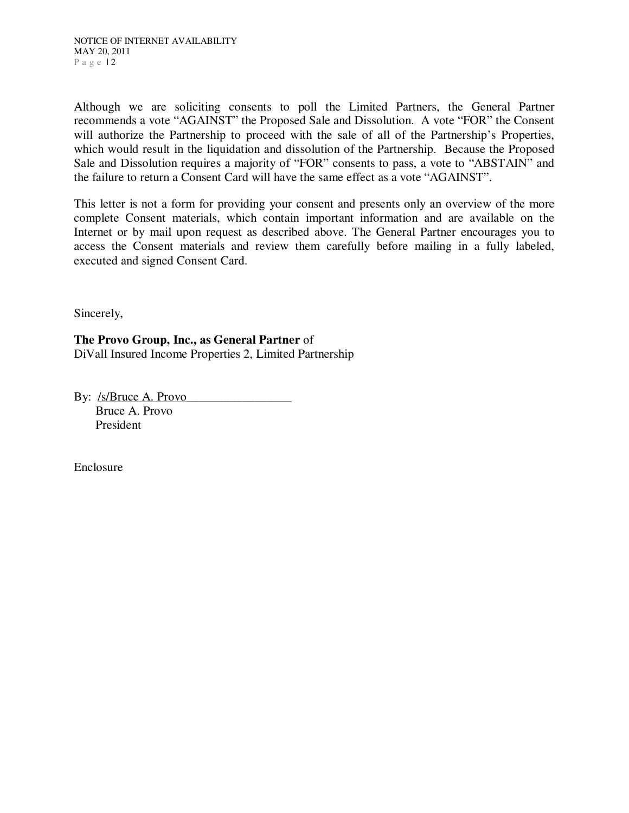Although we are soliciting consents to poll the Limited Partners, the General Partner recommends a vote "AGAINST" the Proposed Sale and Dissolution. A vote "FOR" the Consent will authorize the Partnership to proceed with the sale of all of the Partnership's Properties, which would result in the liquidation and dissolution of the Partnership. Because the Proposed Sale and Dissolution requires a majority of "FOR" consents to pass, a vote to "ABSTAIN" and the failure to return a Consent Card will have the same effect as a vote "AGAINST".

This letter is not a form for providing your consent and presents only an overview of the more complete Consent materials, which contain important information and are available on the Internet or by mail upon request as described above. The General Partner encourages you to access the Consent materials and review them carefully before mailing in a fully labeled, executed and signed Consent Card.

Sincerely,

**The Provo Group, Inc., as General Partner** of DiVall Insured Income Properties 2, Limited Partnership

By: /s/Bruce A. Provo Bruce A. Provo President

Enclosure